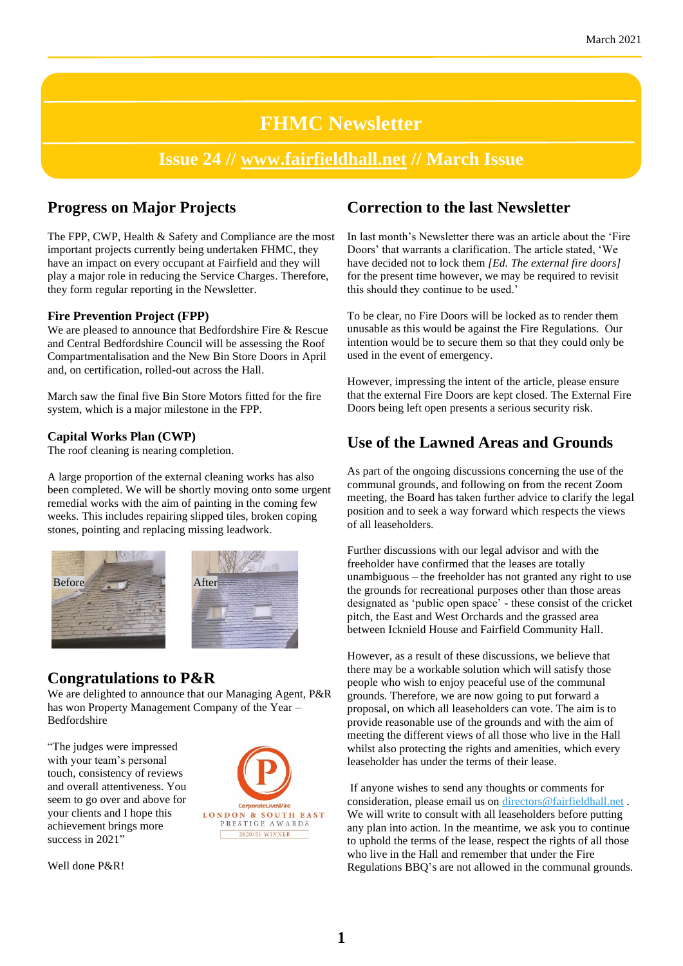# **FHMC Newsletter**

# **Issue 24 // [www.fairfieldhall.net](http://www.fairfieldhall.net/) // March Issue**

# **Progress on Major Projects**

The FPP, CWP, Health & Safety and Compliance are the most important projects currently being undertaken FHMC, they have an impact on every occupant at Fairfield and they will play a major role in reducing the Service Charges. Therefore, they form regular reporting in the Newsletter.

#### **Fire Prevention Project (FPP)**

We are pleased to announce that Bedfordshire Fire & Rescue and Central Bedfordshire Council will be assessing the Roof Compartmentalisation and the New Bin Store Doors in April and, on certification, rolled-out across the Hall.

March saw the final five Bin Store Motors fitted for the fire system, which is a major milestone in the FPP.

#### **Capital Works Plan (CWP)**

The roof cleaning is nearing completion.

A large proportion of the external cleaning works has also been completed. We will be shortly moving onto some urgent remedial works with the aim of painting in the coming few weeks. This includes repairing slipped tiles, broken coping stones, pointing and replacing missing leadwork.





### **Congratulations to P&R**

We are delighted to announce that our Managing Agent, P&R has won Property Management Company of the Year – Bedfordshire

"The judges were impressed with your team's personal touch, consistency of reviews and overall attentiveness. You seem to go over and above for your clients and I hope this achievement brings more success in 2021"



Well done P&R!

# **Correction to the last Newsletter**

In last month's Newsletter there was an article about the 'Fire Doors' that warrants a clarification. The article stated, 'We have decided not to lock them *[Ed. The external fire doors]* for the present time however, we may be required to revisit this should they continue to be used.'

To be clear, no Fire Doors will be locked as to render them unusable as this would be against the Fire Regulations. Our intention would be to secure them so that they could only be used in the event of emergency.

However, impressing the intent of the article, please ensure that the external Fire Doors are kept closed. The External Fire Doors being left open presents a serious security risk.

# **Use of the Lawned Areas and Grounds**

As part of the ongoing discussions concerning the use of the communal grounds, and following on from the recent Zoom meeting, the Board has taken further advice to clarify the legal position and to seek a way forward which respects the views of all leaseholders.

Further discussions with our legal advisor and with the freeholder have confirmed that the leases are totally unambiguous – the freeholder has not granted any right to use the grounds for recreational purposes other than those areas designated as 'public open space' - these consist of the cricket pitch, the East and West Orchards and the grassed area between Icknield House and Fairfield Community Hall.

However, as a result of these discussions, we believe that there may be a workable solution which will satisfy those people who wish to enjoy peaceful use of the communal grounds. Therefore, we are now going to put forward a proposal, on which all leaseholders can vote. The aim is to provide reasonable use of the grounds and with the aim of meeting the different views of all those who live in the Hall whilst also protecting the rights and amenities, which every leaseholder has under the terms of their lease.

If anyone wishes to send any thoughts or comments for consideration, please email us on [directors@fairfieldhall.net](mailto:directors@fairfieldhall.net) . We will write to consult with all leaseholders before putting any plan into action. In the meantime, we ask you to continue to uphold the terms of the lease, respect the rights of all those who live in the Hall and remember that under the Fire Regulations BBQ's are not allowed in the communal grounds.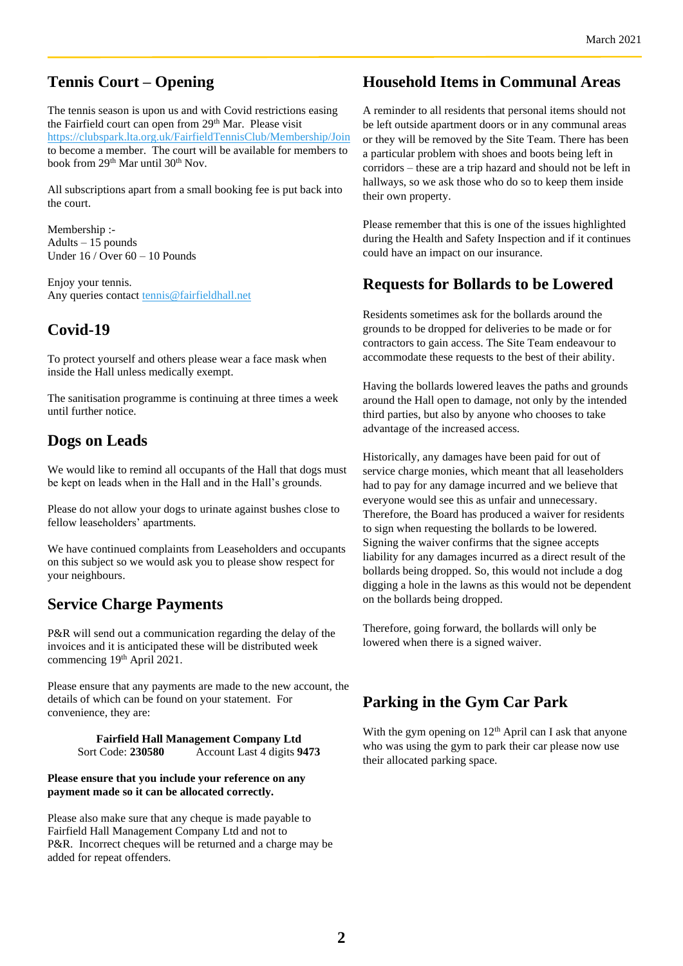### **Tennis Court – Opening**

The tennis season is upon us and with Covid restrictions easing the Fairfield court can open from 29<sup>th</sup> Mar. Please visit <https://clubspark.lta.org.uk/FairfieldTennisClub/Membership/Join> to become a member. The court will be available for members to book from 29<sup>th</sup> Mar until 30<sup>th</sup> Nov.

All subscriptions apart from a small booking fee is put back into the court.

Membership :- Adults – 15 pounds Under 16 / Over 60 – 10 Pounds

Enjoy your tennis. Any queries contact [tennis@fairfieldhall.net](mailto:tennis@fairfieldhall.net)

# **Covid-19**

To protect yourself and others please wear a face mask when inside the Hall unless medically exempt.

The sanitisation programme is continuing at three times a week until further notice.

# **Dogs on Leads**

We would like to remind all occupants of the Hall that dogs must be kept on leads when in the Hall and in the Hall's grounds.

Please do not allow your dogs to urinate against bushes close to fellow leaseholders' apartments.

We have continued complaints from Leaseholders and occupants on this subject so we would ask you to please show respect for your neighbours.

### **Service Charge Payments**

P&R will send out a communication regarding the delay of the invoices and it is anticipated these will be distributed week commencing 19<sup>th</sup> April 2021.

Please ensure that any payments are made to the new account, the details of which can be found on your statement. For convenience, they are:

> **Fairfield Hall Management Company Ltd** Sort Code: **230580** Account Last 4 digits **9473**

#### **Please ensure that you include your reference on any payment made so it can be allocated correctly.**

Please also make sure that any cheque is made payable to Fairfield Hall Management Company Ltd and not to P&R. Incorrect cheques will be returned and a charge may be added for repeat offenders.

### **Household Items in Communal Areas**

A reminder to all residents that personal items should not be left outside apartment doors or in any communal areas or they will be removed by the Site Team. There has been a particular problem with shoes and boots being left in corridors – these are a trip hazard and should not be left in hallways, so we ask those who do so to keep them inside their own property.

Please remember that this is one of the issues highlighted during the Health and Safety Inspection and if it continues could have an impact on our insurance.

### **Requests for Bollards to be Lowered**

Residents sometimes ask for the bollards around the grounds to be dropped for deliveries to be made or for contractors to gain access. The Site Team endeavour to accommodate these requests to the best of their ability.

Having the bollards lowered leaves the paths and grounds around the Hall open to damage, not only by the intended third parties, but also by anyone who chooses to take advantage of the increased access.

Historically, any damages have been paid for out of service charge monies, which meant that all leaseholders had to pay for any damage incurred and we believe that everyone would see this as unfair and unnecessary. Therefore, the Board has produced a waiver for residents to sign when requesting the bollards to be lowered. Signing the waiver confirms that the signee accepts liability for any damages incurred as a direct result of the bollards being dropped. So, this would not include a dog digging a hole in the lawns as this would not be dependent on the bollards being dropped.

Therefore, going forward, the bollards will only be lowered when there is a signed waiver.

# **Parking in the Gym Car Park**

With the gym opening on  $12<sup>th</sup>$  April can I ask that anyone who was using the gym to park their car please now use their allocated parking space.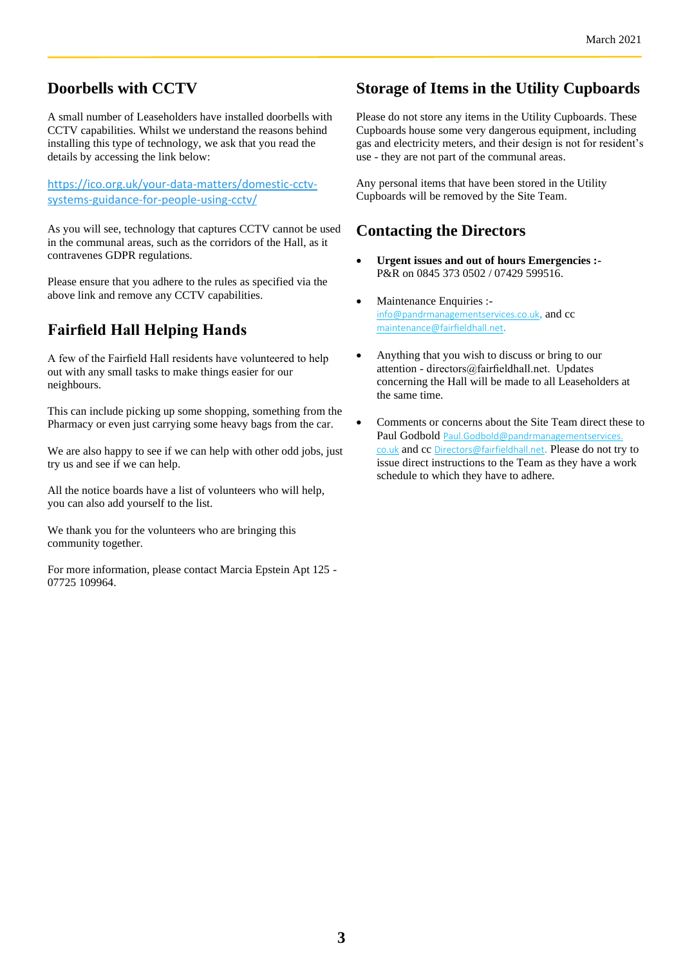### **Doorbells with CCTV**

A small number of Leaseholders have installed doorbells with CCTV capabilities. Whilst we understand the reasons behind installing this type of technology, we ask that you read the details by accessing the link below:

[https://ico.org.uk/your-data-matters/domestic-cctv](https://emea01.safelinks.protection.outlook.com/?url=https%3A%2F%2Fico.org.uk%2Fyour-data-matters%2Fdomestic-cctv-systems-guidance-for-people-using-cctv%2F&data=04%7C01%7C%7Cce1c054947bd49086a5408d8a59fbee6%7C84df9e7fe9f640afb435aaaaaaaaaaaa%7C1%7C0%7C637441452809548010%7CUnknown%7CTWFpbGZsb3d8eyJWIjoiMC4wLjAwMDAiLCJQIjoiV2luMzIiLCJBTiI6Ik1haWwiLCJXVCI6Mn0%3D%7C1000&sdata=dA%2BjYsW62i%2Fbt7vuk4Gmak4jZGHqV63I534hCIw21kk%3D&reserved=0)[systems-guidance-for-people-using-cctv/](https://emea01.safelinks.protection.outlook.com/?url=https%3A%2F%2Fico.org.uk%2Fyour-data-matters%2Fdomestic-cctv-systems-guidance-for-people-using-cctv%2F&data=04%7C01%7C%7Cce1c054947bd49086a5408d8a59fbee6%7C84df9e7fe9f640afb435aaaaaaaaaaaa%7C1%7C0%7C637441452809548010%7CUnknown%7CTWFpbGZsb3d8eyJWIjoiMC4wLjAwMDAiLCJQIjoiV2luMzIiLCJBTiI6Ik1haWwiLCJXVCI6Mn0%3D%7C1000&sdata=dA%2BjYsW62i%2Fbt7vuk4Gmak4jZGHqV63I534hCIw21kk%3D&reserved=0)

As you will see, technology that captures CCTV cannot be used in the communal areas, such as the corridors of the Hall, as it contravenes GDPR regulations.

Please ensure that you adhere to the rules as specified via the above link and remove any CCTV capabilities.

# **Fairfield Hall Helping Hands**

A few of the Fairfield Hall residents have volunteered to help out with any small tasks to make things easier for our neighbours.

This can include picking up some shopping, something from the Pharmacy or even just carrying some heavy bags from the car.

We are also happy to see if we can help with other odd jobs, just try us and see if we can help.

All the notice boards have a list of volunteers who will help, you can also add yourself to the list.

We thank you for the volunteers who are bringing this community together.

For more information, please contact Marcia Epstein Apt 125 - 07725 109964.

### **Storage of Items in the Utility Cupboards**

Please do not store any items in the Utility Cupboards. These Cupboards house some very dangerous equipment, including gas and electricity meters, and their design is not for resident's use - they are not part of the communal areas.

Any personal items that have been stored in the Utility Cupboards will be removed by the Site Team.

### **Contacting the Directors**

- **Urgent issues and out of hours Emergencies :-** P&R on 0845 373 0502 / 07429 599516.
- Maintenance Enquiries :[info@pandrmanagementservices.co.uk](mailto:info@pandrmanagementservices.co.uk), and cc maintenance@fairfieldhall.net.
- Anything that you wish to discuss or bring to our attention - directors@fairfieldhall.net. Updates concerning the Hall will be made to all Leaseholders at the same time.
- Comments or concerns about the Site Team direct these to Paul Godbold Paul.Godbold@pandrmanagementservices co.uk and cc Directors@fairfieldhall.net. Please do not try to issue direct instructions to the Team as they have a work schedule to which they have to adhere.